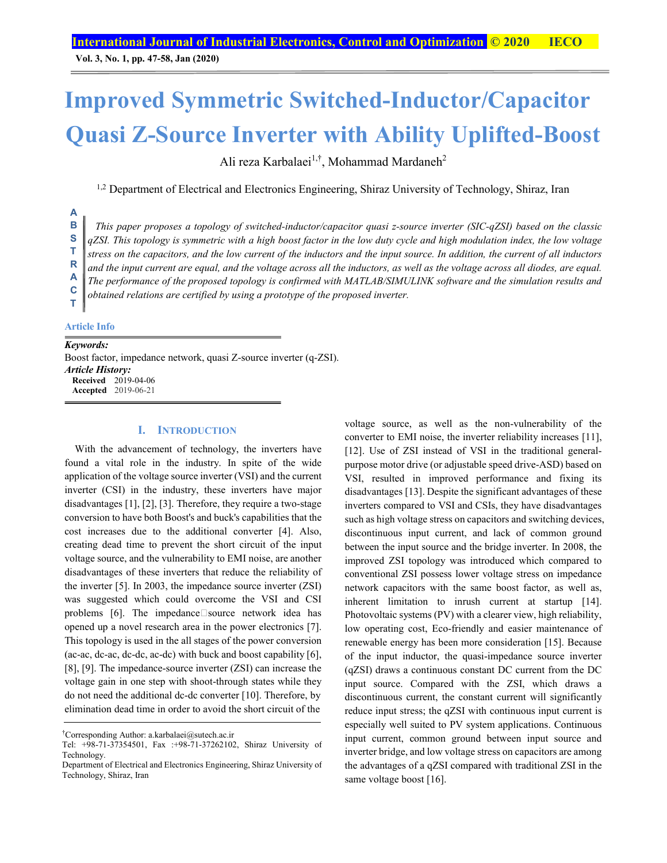**Vol. 3, No. 1, pp. 47-58, Jan (2020)**

# **Improved Symmetric Switched-Inductor/Capacitor Quasi Z-Source Inverter with Ability Uplifted-Boost**

Ali reza Karbalaei<sup>1,†</sup>, Mohammad Mardaneh<sup>2</sup>

<sup>1,2</sup> Department of Electrical and Electronics Engineering, Shiraz University of Technology, Shiraz, Iran

#### *This paper proposes a topology of switched-inductor/capacitor quasi z-source inverter (SIC-qZSI) based on the classic*  **B**

*qZSI. This topology is symmetric with a high boost factor in the low duty cycle and high modulation index, the low voltage* 

*stress on the capacitors, and the low current of the inductors and the input source. In addition, the current of all inductors*  **T** 

*and the input current are equal, and the voltage across all the inductors, as well as the voltage across all diodes, are equal.*  **R** 

*The performance of the proposed topology is confirmed with MATLAB/SIMULINK software and the simulation results and*  **A** 

*obtained relations are certified by using a prototype of the proposed inverter.*  **C T** 

### **Article Info**

### *Keywords:*

**A**

**S** 

Boost factor, impedance network, quasi Z-source inverter (q-ZSI). *Article History:* **Received** 2019-04-06 **Accepted** 2019-06-21

### **I. INTRODUCTION**

With the advancement of technology, the inverters have found a vital role in the industry. In spite of the wide application of the voltage source inverter (VSI) and the current inverter (CSI) in the industry, these inverters have major disadvantages [1], [2], [3]. Therefore, they require a two-stage conversion to have both Boost's and buck's capabilities that the cost increases due to the additional converter [4]. Also, creating dead time to prevent the short circuit of the input voltage source, and the vulnerability to EMI noise, are another disadvantages of these inverters that reduce the reliability of the inverter [5]. In 2003, the impedance source inverter (ZSI) was suggested which could overcome the VSI and CSI problems  $[6]$ . The impedance source network idea has opened up a novel research area in the power electronics [7]. This topology is used in the all stages of the power conversion (ac-ac, dc-ac, dc-dc, ac-dc) with buck and boost capability [6], [8], [9]. The impedance-source inverter (ZSI) can increase the voltage gain in one step with shoot-through states while they do not need the additional dc-dc converter [10]. Therefore, by elimination dead time in order to avoid the short circuit of the

voltage source, as well as the non-vulnerability of the converter to EMI noise, the inverter reliability increases [11], [12]. Use of ZSI instead of VSI in the traditional generalpurpose motor drive (or adjustable speed drive-ASD) based on VSI, resulted in improved performance and fixing its disadvantages [13]. Despite the significant advantages of these inverters compared to VSI and CSIs, they have disadvantages such as high voltage stress on capacitors and switching devices, discontinuous input current, and lack of common ground between the input source and the bridge inverter. In 2008, the improved ZSI topology was introduced which compared to conventional ZSI possess lower voltage stress on impedance network capacitors with the same boost factor, as well as, inherent limitation to inrush current at startup [14]. Photovoltaic systems (PV) with a clearer view, high reliability, low operating cost, Eco-friendly and easier maintenance of renewable energy has been more consideration [15]. Because of the input inductor, the quasi-impedance source inverter (qZSI) draws a continuous constant DC current from the DC input source. Compared with the ZSI, which draws a discontinuous current, the constant current will significantly reduce input stress; the qZSI with continuous input current is especially well suited to PV system applications. Continuous input current, common ground between input source and inverter bridge, and low voltage stress on capacitors are among the advantages of a qZSI compared with traditional ZSI in the same voltage boost [16].

<sup>†</sup> Corresponding Author: a.karbalaei@sutech.ac.ir

Tel: +98-71-37354501, Fax :+98-71-37262102, Shiraz University of Technology.

Department of Electrical and Electronics Engineering, Shiraz University of Technology, Shiraz, Iran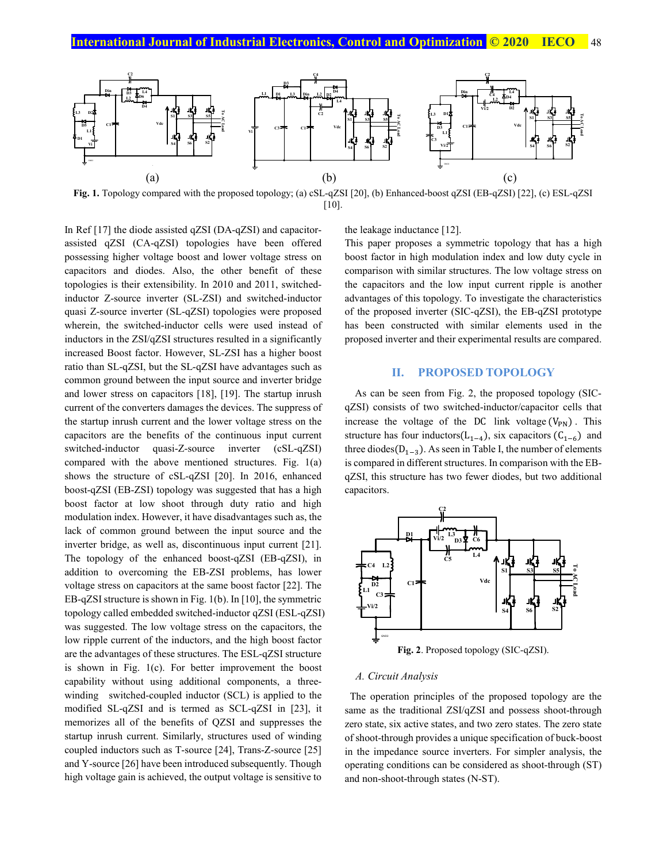

**Fig. 1.** Topology compared with the proposed topology; (a) cSL-qZSI [20], (b) Enhanced-boost qZSI (EB-qZSI) [22], (c) ESL-qZSI  $[10]$ .

In Ref [17] the diode assisted qZSI (DA-qZSI) and capacitorassisted qZSI (CA-qZSI) topologies have been offered possessing higher voltage boost and lower voltage stress on capacitors and diodes. Also, the other benefit of these topologies is their extensibility. In 2010 and 2011, switchedinductor Z-source inverter (SL-ZSI) and switched-inductor quasi Z-source inverter (SL-qZSI) topologies were proposed wherein, the switched-inductor cells were used instead of inductors in the ZSI/qZSI structures resulted in a significantly increased Boost factor. However, SL-ZSI has a higher boost ratio than SL-qZSI, but the SL-qZSI have advantages such as common ground between the input source and inverter bridge and lower stress on capacitors [18], [19]. The startup inrush current of the converters damages the devices. The suppress of the startup inrush current and the lower voltage stress on the capacitors are the benefits of the continuous input current switched-inductor quasi-Z-source inverter (cSL-qZSI) compared with the above mentioned structures. Fig. 1(a) shows the structure of cSL-qZSI [20]. In 2016, enhanced boost-qZSI (EB-ZSI) topology was suggested that has a high boost factor at low shoot through duty ratio and high modulation index. However, it have disadvantages such as, the lack of common ground between the input source and the inverter bridge, as well as, discontinuous input current [21]. The topology of the enhanced boost-qZSI (EB-qZSI), in addition to overcoming the EB-ZSI problems, has lower voltage stress on capacitors at the same boost factor [22]. The EB-qZSI structure is shown in Fig. 1(b). In [10], the symmetric topology called embedded switched-inductor qZSI (ESL-qZSI) was suggested. The low voltage stress on the capacitors, the low ripple current of the inductors, and the high boost factor are the advantages of these structures. The ESL-qZSI structure is shown in Fig. 1(c). For better improvement the boost capability without using additional components, a threewinding switched-coupled inductor (SCL) is applied to the modified SL-qZSI and is termed as SCL-qZSI in [23], it memorizes all of the benefits of QZSI and suppresses the startup inrush current. Similarly, structures used of winding coupled inductors such as T-source [24], Trans-Z-source [25] and Y-source [26] have been introduced subsequently. Though high voltage gain is achieved, the output voltage is sensitive to

the leakage inductance [12].

This paper proposes a symmetric topology that has a high boost factor in high modulation index and low duty cycle in comparison with similar structures. The low voltage stress on the capacitors and the low input current ripple is another advantages of this topology. To investigate the characteristics of the proposed inverter (SIC-qZSI), the EB-qZSI prototype has been constructed with similar elements used in the proposed inverter and their experimental results are compared.

## **II. PROPOSED TOPOLOGY**

As can be seen from Fig. 2, the proposed topology (SICqZSI) consists of two switched-inductor/capacitor cells that increase the voltage of the DC link voltage  $(V_{PN})$ . This structure has four inductors( $L_{1-4}$ ), six capacitors ( $C_{1-6}$ ) and three diodes( $D_{1-3}$ ). As seen in Table I, the number of elements is compared in different structures. In comparison with the EBqZSI, this structure has two fewer diodes, but two additional capacitors.



#### *A. Circuit Analysis*

 The operation principles of the proposed topology are the same as the traditional ZSI/qZSI and possess shoot-through zero state, six active states, and two zero states. The zero state of shoot-through provides a unique specification of buck-boost in the impedance source inverters. For simpler analysis, the operating conditions can be considered as shoot-through (ST) and non-shoot-through states (N-ST).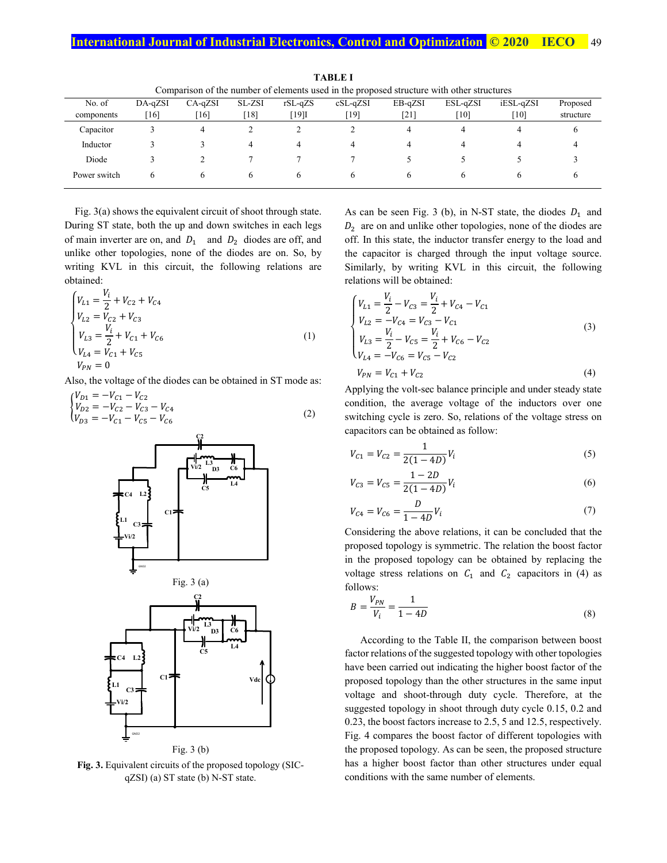| Comparison of the number of elements used in the proposed structure with other structures |           |              |              |              |            |         |          |           |           |  |  |
|-------------------------------------------------------------------------------------------|-----------|--------------|--------------|--------------|------------|---------|----------|-----------|-----------|--|--|
| No. of                                                                                    | $DA-aZSI$ | $CA-qZSI$    | SL-ZSI       | $rSL-qZS$    | $cSL-qZSI$ | EB-qZSI | ESL-qZSI | iESL-qZSI | Proposed  |  |  |
| components                                                                                | [16]      | 16           | [18]         | [19]I        | [19]       | [21]    | [10]     | [10]      | structure |  |  |
| Capacitor                                                                                 |           | 4            |              |              |            | 4       |          |           |           |  |  |
| Inductor                                                                                  |           |              | 4            | 4            |            | 4       |          |           |           |  |  |
| Diode                                                                                     |           |              |              |              |            |         |          |           |           |  |  |
| Power switch                                                                              |           | <sub>(</sub> | <sub>(</sub> | <sub>n</sub> |            | b.      |          |           |           |  |  |

**TABLE I**  Comparison of the number of elements used in the proposed structure with other structures

Fig. 3(a) shows the equivalent circuit of shoot through state. During ST state, both the up and down switches in each legs of main inverter are on, and  $D_1$  and  $D_2$  diodes are off, and unlike other topologies, none of the diodes are on. So, by writing KVL in this circuit, the following relations are obtained:

$$
\begin{cases}\n V_{L1} = \frac{V_i}{2} + V_{C2} + V_{C4} \\
 V_{L2} = V_{C2} + V_{C3} \\
 V_{L3} = \frac{V_i}{2} + V_{C1} + V_{C6} \\
 V_{L4} = V_{C1} + V_{C5} \\
 V_{PN} = 0\n\end{cases}
$$
\n(1)

Also, the voltage of the diodes can be obtained in ST mode as:

$$
\begin{cases}\nV_{D1} = -V_{C1} - V_{C2} \\
V_{D2} = -V_{C2} - V_{C3} - V_{C4} \\
V_{D3} = -V_{C1} - V_{C5} - V_{C6}\n\end{cases}
$$
\n(2)



**Fig. 3.** Equivalent circuits of the proposed topology (SICqZSI) (a) ST state (b) N-ST state.

As can be seen Fig. 3 (b), in N-ST state, the diodes  $D_1$  and  $D_2$  are on and unlike other topologies, none of the diodes are off. In this state, the inductor transfer energy to the load and the capacitor is charged through the input voltage source. Similarly, by writing KVL in this circuit, the following relations will be obtained:

$$
\begin{cases}\n V_{L1} = \frac{V_i}{2} - V_{C3} = \frac{V_i}{2} + V_{C4} - V_{C1} \\
 V_{L2} = -V_{C4} = V_{C3} - V_{C1} \\
 V_{L3} = \frac{V_i}{2} - V_{C5} = \frac{V_i}{2} + V_{C6} - V_{C2} \\
 V_{L4} = -V_{C6} = V_{C5} - V_{C2} \\
 V_{PN} = V_{C1} + V_{C2}\n\end{cases}
$$
\n(3)

Applying the volt-sec balance principle and under steady state condition, the average voltage of the inductors over one switching cycle is zero. So, relations of the voltage stress on capacitors can be obtained as follow:

$$
V_{C1} = V_{C2} = \frac{1}{2(1 - 4D)} V_i
$$
 (5)

$$
V_{C3} = V_{C5} = \frac{1 - 2D}{2(1 - 4D)} V_i
$$
\n<sup>(6)</sup>

$$
V_{C4} = V_{C6} = \frac{D}{1 - 4D} V_i
$$
 (7)

Considering the above relations, it can be concluded that the proposed topology is symmetric. The relation the boost factor in the proposed topology can be obtained by replacing the voltage stress relations on  $C_1$  and  $C_2$  capacitors in (4) as follows:

$$
B = \frac{V_{PN}}{V_i} = \frac{1}{1 - 4D} \tag{8}
$$

 According to the Table II, the comparison between boost factor relations of the suggested topology with other topologies have been carried out indicating the higher boost factor of the proposed topology than the other structures in the same input voltage and shoot-through duty cycle. Therefore, at the suggested topology in shoot through duty cycle 0.15, 0.2 and 0.23, the boost factors increase to 2.5, 5 and 12.5, respectively. Fig. 4 compares the boost factor of different topologies with the proposed topology. As can be seen, the proposed structure has a higher boost factor than other structures under equal conditions with the same number of elements.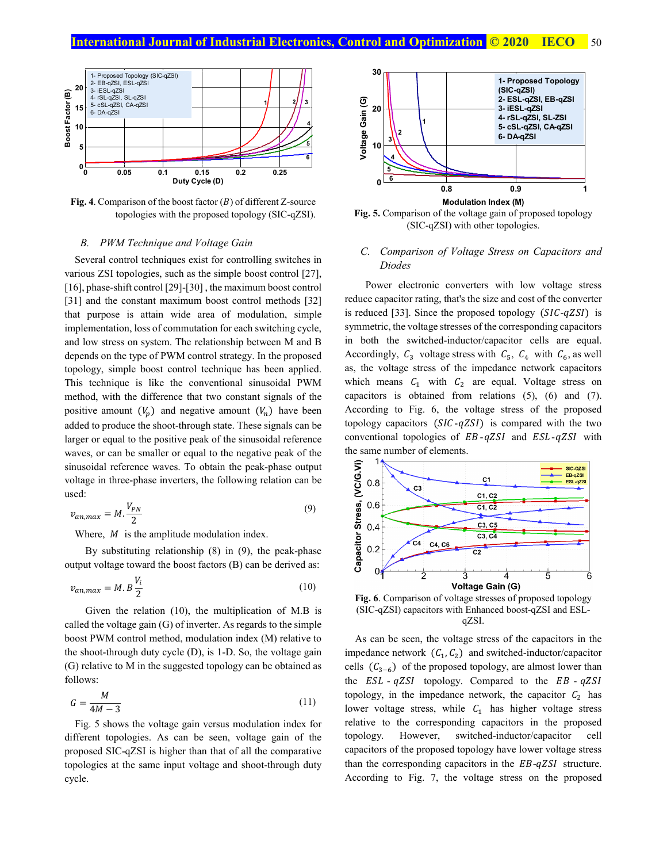# **International Journal of Industrial Electronics, Control and Optimization <b>C 2020** IECO 50



**Fig. 4**. Comparison of the boost factor  $(B)$  of different Z-source topologies with the proposed topology (SIC-qZSI).

#### *B. PWM Technique and Voltage Gain*

Several control techniques exist for controlling switches in various ZSI topologies, such as the simple boost control [27], [16], phase-shift control [29]-[30], the maximum boost control [31] and the constant maximum boost control methods [32] that purpose is attain wide area of modulation, simple implementation, loss of commutation for each switching cycle, and low stress on system. The relationship between M and B depends on the type of PWM control strategy. In the proposed topology, simple boost control technique has been applied. This technique is like the conventional sinusoidal PWM method, with the difference that two constant signals of the positive amount  $(V_n)$  and negative amount  $(V_n)$  have been added to produce the shoot-through state. These signals can be larger or equal to the positive peak of the sinusoidal reference waves, or can be smaller or equal to the negative peak of the sinusoidal reference waves. To obtain the peak-phase output voltage in three-phase inverters, the following relation can be used:

$$
v_{an,max} = M \cdot \frac{V_{PN}}{2} \tag{9}
$$

Where,  $M$  is the amplitude modulation index.

 By substituting relationship (8) in (9), the peak-phase output voltage toward the boost factors (B) can be derived as:

$$
v_{an,max} = M.B \frac{V_i}{2}
$$
 (10)

 Given the relation (10), the multiplication of M.B is called the voltage gain (G) of inverter. As regards to the simple boost PWM control method, modulation index (M) relative to the shoot-through duty cycle (D), is 1-D. So, the voltage gain (G) relative to M in the suggested topology can be obtained as follows:

$$
G = \frac{M}{4M - 3} \tag{11}
$$

 Fig. 5 shows the voltage gain versus modulation index for different topologies. As can be seen, voltage gain of the proposed SIC-qZSI is higher than that of all the comparative topologies at the same input voltage and shoot-through duty cycle.



**Fig. 5.** Comparison of the voltage gain of proposed topology (SIC-qZSI) with other topologies.

### *C. Comparison of Voltage Stress on Capacitors and Diodes*

 Power electronic converters with low voltage stress reduce capacitor rating, that's the size and cost of the converter is reduced [33]. Since the proposed topology  $(SIC-qZSI)$  is symmetric, the voltage stresses of the corresponding capacitors in both the switched-inductor/capacitor cells are equal. Accordingly,  $C_3$  voltage stress with  $C_5$ ,  $C_4$  with  $C_6$ , as well as, the voltage stress of the impedance network capacitors which means  $C_1$  with  $C_2$  are equal. Voltage stress on capacitors is obtained from relations (5), (6) and (7). According to Fig. 6, the voltage stress of the proposed topology capacitors  $(SIC - qZSI)$  is compared with the two conventional topologies of  $EB - qZSI$  and  $ESL - qZSI$  with the same number of elements.



**Fig. 6**. Comparison of voltage stresses of proposed topology (SIC-qZSI) capacitors with Enhanced boost-qZSI and ESLqZSI.

As can be seen, the voltage stress of the capacitors in the impedance network  $(C_1, C_2)$  and switched-inductor/capacitor cells  $(C_{3-6})$  of the proposed topology, are almost lower than the  $ESL - qZSI$  topology. Compared to the  $EB - qZSI$ topology, in the impedance network, the capacitor  $C_2$  has lower voltage stress, while  $C_1$  has higher voltage stress relative to the corresponding capacitors in the proposed topology. However, switched-inductor/capacitor cell capacitors of the proposed topology have lower voltage stress than the corresponding capacitors in the  $EB-qZSI$  structure. According to Fig. 7, the voltage stress on the proposed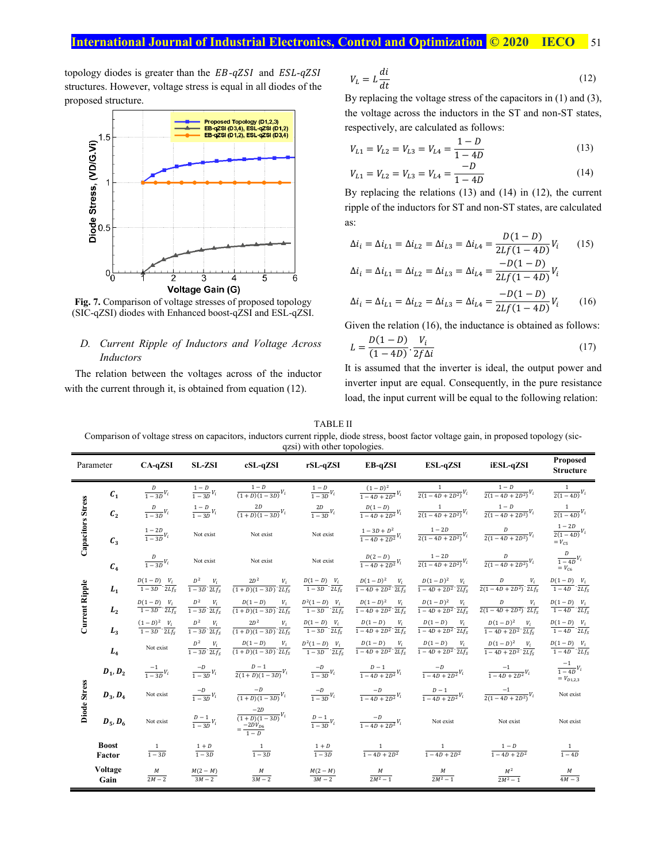topology diodes is greater than the  $EB-qZSI$  and  $ESL-qZSI$ structures. However, voltage stress is equal in all diodes of the proposed structure.



**Fig. 7.** Comparison of voltage stresses of proposed topology (SIC-qZSI) diodes with Enhanced boost-qZSI and ESL-qZSI.

#### *D. Current Ripple of Inductors and Voltage Across Inductors*

 The relation between the voltages across of the inductor with the current through it, is obtained from equation (12).

$$
V_L = L \frac{di}{dt} \tag{12}
$$

By replacing the voltage stress of the capacitors in (1) and (3), the voltage across the inductors in the ST and non-ST states, respectively, are calculated as follows:

$$
V_{L1} = V_{L2} = V_{L3} = V_{L4} = \frac{1 - D}{1 - 4D} \tag{13}
$$

$$
V_{L1} = V_{L2} = V_{L3} = V_{L4} = \frac{-D}{1 - 4D} \tag{14}
$$

By replacing the relations (13) and (14) in (12), the current ripple of the inductors for ST and non-ST states, are calculated as:

$$
\Delta i_i = \Delta i_{L1} = \Delta i_{L2} = \Delta i_{L3} = \Delta i_{L4} = \frac{D(1 - D)}{2Lf(1 - 4D)}V_i \qquad (15)
$$

$$
-D(1 - D)
$$

$$
\Delta i_i = \Delta i_{L1} = \Delta i_{L2} = \Delta i_{L3} = \Delta i_{L4} = \frac{-D(1 - D)}{2Lf(1 - 4D)}V_i
$$

$$
\Delta i_i = \Delta i_{L1} = \Delta i_{L2} = \Delta i_{L3} = \Delta i_{L4} = \frac{-D(1 - D)}{2Lf(1 - 4D)}V_i \tag{16}
$$

Given the relation (16), the inductance is obtained as follows:

$$
L = \frac{D(1 - D)}{(1 - 4D)} \cdot \frac{V_i}{2f\Delta i} \tag{17}
$$

It is assumed that the inverter is ideal, the output power and inverter input are equal. Consequently, in the pure resistance load, the input current will be equal to the following relation:

TABLE II

Comparison of voltage stress on capacitors, inductors current ripple, diode stress, boost factor voltage gain, in proposed topology (sicqzsi) with other topologies.

|                          | Parameter              | CA-qZSI                                       | SL-ZSI                                   | $cSL-qZSI$                                                                                                | yzsi) with other topologies.<br>rSL-qZSI        | EB-qZSI                                                                                                    | ESL-qZSI                                         | iESL-qZSI                                                                                                                                                                                                                                                         | Proposed<br><b>Structure</b>                  |
|--------------------------|------------------------|-----------------------------------------------|------------------------------------------|-----------------------------------------------------------------------------------------------------------|-------------------------------------------------|------------------------------------------------------------------------------------------------------------|--------------------------------------------------|-------------------------------------------------------------------------------------------------------------------------------------------------------------------------------------------------------------------------------------------------------------------|-----------------------------------------------|
|                          | $\mathcal{C}_1$        | $\frac{D}{1-3D}V_i$                           | $\frac{1-D}{1-3D}V_i$                    | $\frac{1-D}{(1+D)(1-3D)}V_i$                                                                              | $\frac{1-D}{1-3D}V_i$                           | $\frac{(1-D)^2}{1-4D+2D^2}V_i$                                                                             | $\frac{1}{2(1-4D+2D^2)}V_i$                      | $\frac{1-D}{2(1-4D+2D^2)}V_i$                                                                                                                                                                                                                                     | $\frac{1}{2(1-4D)}V_i$                        |
| <b>Capacitors Stress</b> | $\mathcal{C}_{2}$      | $\frac{D}{1-3D}V_i$                           | $\frac{1-D}{1-3D}V_i$                    | $\frac{2D}{(1+D)(1-3D)}V_i$                                                                               | $\frac{2D}{1-3D}V_i$                            | $\frac{D(1-D)}{1-4D+2D^2}V_i$                                                                              | $\frac{1}{2(1-4D+2D^2)}V_i$                      | $\frac{1-D}{2(1-4D+2D^2)}V_i$                                                                                                                                                                                                                                     | $\frac{1}{2(1-4D)}V_i$                        |
|                          | $\mathcal{C}_3$        | $\frac{1-2D}{1-3D}V_i$                        | Not exist                                | Not exist                                                                                                 | Not exist                                       | $\frac{1-3D+D^2}{1-4D+2D^2}V_i$                                                                            | $\frac{1-2D}{2(1-4D+2D^2)}V_i$                   | $\frac{D}{2(1-4D+2D^2)}V_i$                                                                                                                                                                                                                                       | $\frac{1-2D}{2(1-4D)}V_i$                     |
|                          | $C_4$                  | $\frac{D}{1-3D}V_i$                           | Not exist                                | Not exist                                                                                                 | Not exist                                       | $\frac{D(2-D)}{1-4D+2D^2}V_i$                                                                              | $\frac{1-2D}{2(1-4D+2D^2)}V_i$                   | $\frac{D}{2(1-4D+2D^2)}V_i$                                                                                                                                                                                                                                       | $\frac{D}{1-4D}V_i$                           |
| Current Ripple           | $L_{1}$                | $\frac{D(1-D)}{1-3D} \cdot \frac{V_i}{2Lf_s}$ | $\frac{D^2}{1-3D}\cdot\frac{V_i}{2Lf_s}$ |                                                                                                           |                                                 |                                                                                                            |                                                  | $\frac{2D^2}{(1+D)(1-3D)}\cdot\frac{V_i}{2Lf_i} \quad \frac{D(1-D)}{1-3D}\cdot\frac{V_i}{2Lf_i} \quad \frac{D(1-D)^2}{1-4D+2D^2}\cdot\frac{V_i}{2Lf_i} \quad \frac{D(1-D)^2}{1-4D+2D^2}\cdot\frac{V_i}{2Lf_i} \quad \frac{D}{2(1-4D+2D^2)}\cdot\frac{V_i}{2Lf_i}$ | $\frac{D(1-D)}{1-4D} \cdot \frac{V_i}{2Lf_s}$ |
|                          | $L_{2}$                | $\frac{D(1-D)}{1-3D} \cdot \frac{V_i}{2Lf_S}$ | $\frac{D^2}{1-3D}\cdot\frac{V_i}{2Lf_s}$ | $\frac{D(1-D)}{(1+D)(1-3D)} \cdot \frac{V_i}{2Lf_s}$                                                      | $\frac{D^2(1-D)}{1-3D} \cdot \frac{V_i}{2Lf_s}$ | $\frac{D(1-D)^2}{1-4D+2D^2}\cdot\frac{V_i}{2Lf_s} \qquad \frac{D(1-D)^2}{1-4D+2D^2}\cdot\frac{V_i}{2Lf_s}$ |                                                  | $\frac{D}{2(1-4D+2D^2)} \cdot \frac{V_i}{2Lf_s}$                                                                                                                                                                                                                  | $\frac{D(1-D)}{1-4D} \cdot \frac{V_i}{2Lf_S}$ |
|                          | L <sub>3</sub>         |                                               | $\frac{D^2}{1-3D}\cdot\frac{V_i}{2Lf_s}$ | $\frac{2D^2}{(1+D)(1-3D)} \cdot \frac{V_i}{2Lf_s}$                                                        | $\frac{D(1-D)}{1-3D} \cdot \frac{V_i}{2Lf_s}$   | $\frac{D(1-D)}{1-4D+2D^2} \cdot \frac{V_i}{2Lf_s}$                                                         | $\frac{D(1-D)}{1-4D+2D^2}\cdot\frac{V_i}{2Lf_s}$ | $\frac{D(1-D)^2}{1-4D+2D^2}\cdot\frac{V_i}{2Lf_s}$                                                                                                                                                                                                                | $\frac{D(1-D)}{1-4D} \cdot \frac{V_i}{2Lf_s}$ |
| Diode Stress             | $L_4$                  | Not exist                                     | $\frac{D^2}{1-3D}\cdot\frac{V_i}{2Lf_s}$ | $\frac{D(1-D)}{(1+D)(1-3D)} \cdot \frac{V_i}{2Lf_S} \qquad \frac{D^2(1-D)}{1-3D} \cdot \frac{V_i}{2Lf_S}$ |                                                 | $\frac{D(1-D)}{1-4D+2D^2} \cdot \frac{V_i}{2Lf_s}$                                                         | $rac{D(1-D)}{1-4D+2D^2} \cdot \frac{V_i}{2Lf_s}$ | $\frac{D(1-D)^2}{1-4D+2D^2} \cdot \frac{V_i}{2Lf_s}$                                                                                                                                                                                                              | $\frac{D(1-D)}{1-4D}\cdot\frac{V_i}{2Lf_s}$   |
|                          | $\pmb{D}_1, \pmb{D}_2$ | $\frac{-1}{1-3D}V_i$                          | $\frac{-D}{1-3D}V_i$                     | $\frac{D-1}{2(1+D)(1-3D)}V_i$                                                                             | $\frac{-D}{1-3D}V_i$                            | $\frac{D-1}{1-4D+2D^2}V_i$                                                                                 | $\frac{-D}{1-4D+2D^2}V_i$                        | $\frac{-1}{1-4D+2D^2}V_i$                                                                                                                                                                                                                                         | $\frac{-1}{1-4D}V_i$<br>$= V_{D1,2,3}$        |
|                          | $D_3, D_4$             | Not exist                                     | $\frac{-D}{1-3D}V_i$                     | $\frac{-D}{(1+D)(1-3D)}V_i$                                                                               | $\frac{-D}{1-3D}V_i$                            | $\frac{-D}{1-4D+2D^2}V_i$                                                                                  | $\frac{D-1}{1-4D+2D^2}V_i$                       | $\frac{-1}{2(1-4D+2D^2)}V_i$                                                                                                                                                                                                                                      | Not exist                                     |
|                          | $D_5, D_6$             | Not exist                                     | $\frac{D-1}{1-3D}V_i$                    | $\frac{-2D}{(1+D)(1-3D)}V_i$<br>= $\frac{-2DV_{D6}}{1-D}$                                                 | $\frac{D-1}{1-3D}V_i$                           | $\frac{-D}{1-4D+2D^2}V_i$                                                                                  | Not exist                                        | Not exist                                                                                                                                                                                                                                                         | Not exist                                     |
|                          | <b>Boost</b><br>Factor | $\frac{1}{1-3D}$                              | $\frac{1+D}{1-3D}$                       | $\frac{1}{1-3D}$                                                                                          | $\frac{1+D}{1-3D}$                              | $\frac{1}{1-4D+2D^2}$                                                                                      | $\frac{1}{1-4D+2D^2}$                            | $\frac{1-D}{1-4D+2D^2}$                                                                                                                                                                                                                                           | $\frac{1}{1-4D}$                              |
|                          | Voltage<br>Gain        | М<br>$2M - 2$                                 | $\frac{M(2-M)}{3M-2}$                    | $\frac{M}{3M-2}$                                                                                          | $\frac{M(2-M)}{3M-2}$                           | $\frac{M}{2M^2-1}$                                                                                         | $\frac{M}{2M^2-1}$                               | $\frac{M^2}{2M^2-1}$                                                                                                                                                                                                                                              | $4M - 3$                                      |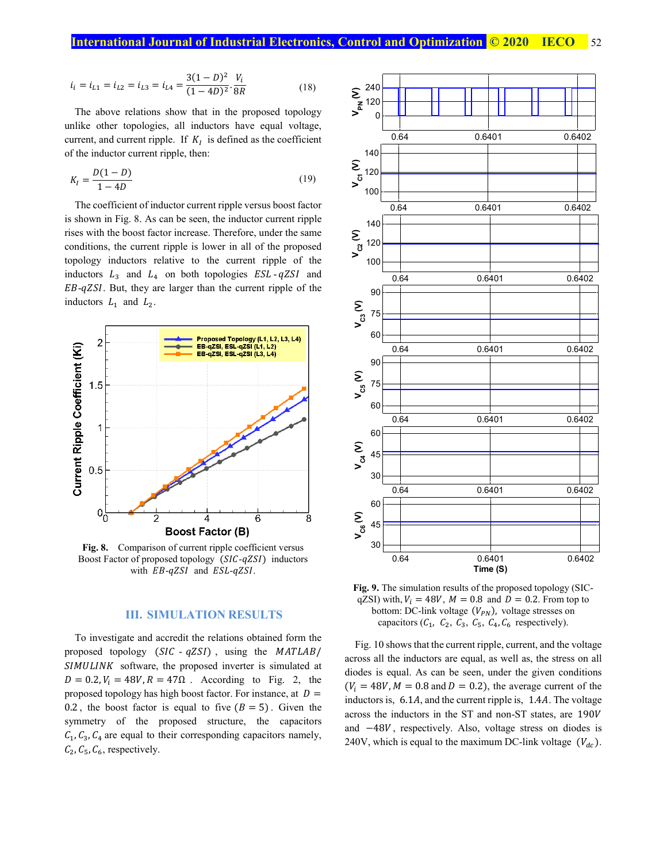$$
i_i = i_{L1} = i_{L2} = i_{L3} = i_{L4} = \frac{3(1-D)^2}{(1-4D)^2} \cdot \frac{V_i}{8R}
$$
 (18)

The above relations show that in the proposed topology unlike other topologies, all inductors have equal voltage, current, and current ripple. If  $K_I$  is defined as the coefficient of the inductor current ripple, then:

$$
K_{I} = \frac{D(1 - D)}{1 - 4D} \tag{19}
$$

The coefficient of inductor current ripple versus boost factor is shown in Fig. 8. As can be seen, the inductor current ripple rises with the boost factor increase. Therefore, under the same conditions, the current ripple is lower in all of the proposed topology inductors relative to the current ripple of the inductors  $L_3$  and  $L_4$  on both topologies  $ESL - qZSI$  and  $EB-qZSI$ . But, they are larger than the current ripple of the inductors  $L_1$  and  $L_2$ .



Fig. 8. Comparison of current ripple coefficient versus Boost Factor of proposed topology (SIC-qZSI) inductors with  $EB-qZSI$  and  $ESL-qZSI$ .

#### **III. SIMULATION RESULTS**

To investigate and accredit the relations obtained form the proposed topology  $(SIC - qZSI)$ , using the MATLAB/  $SIMULINK$  software, the proposed inverter is simulated at  $D = 0.2$ ,  $V_i = 48V$ ,  $R = 47\Omega$ . According to Fig. 2, the proposed topology has high boost factor. For instance, at  $D =$ 0.2, the boost factor is equal to five  $(B = 5)$ . Given the symmetry of the proposed structure, the capacitors  $C_1$ ,  $C_3$ ,  $C_4$  are equal to their corresponding capacitors namely,  $C_2$ ,  $C_5$ ,  $C_6$ , respectively.



**Fig. 9.** The simulation results of the proposed topology (SICqZSI) with,  $V_i = 48V$ ,  $M = 0.8$  and  $D = 0.2$ . From top to bottom: DC-link voltage  $(V_{PN})$ , voltage stresses on capacitors  $(C_1, C_2, C_3, C_5, C_4, C_6$  respectively).

Fig. 10 shows that the current ripple, current, and the voltage across all the inductors are equal, as well as, the stress on all diodes is equal. As can be seen, under the given conditions  $(V_i = 48V, M = 0.8$  and  $D = 0.2$ ), the average current of the inductors is,  $6.1A$ , and the current ripple is,  $1.4A$ . The voltage across the inductors in the ST and non-ST states, are 190 and  $-48V$ , respectively. Also, voltage stress on diodes is 240V, which is equal to the maximum DC-link voltage  $(V_{dc})$ .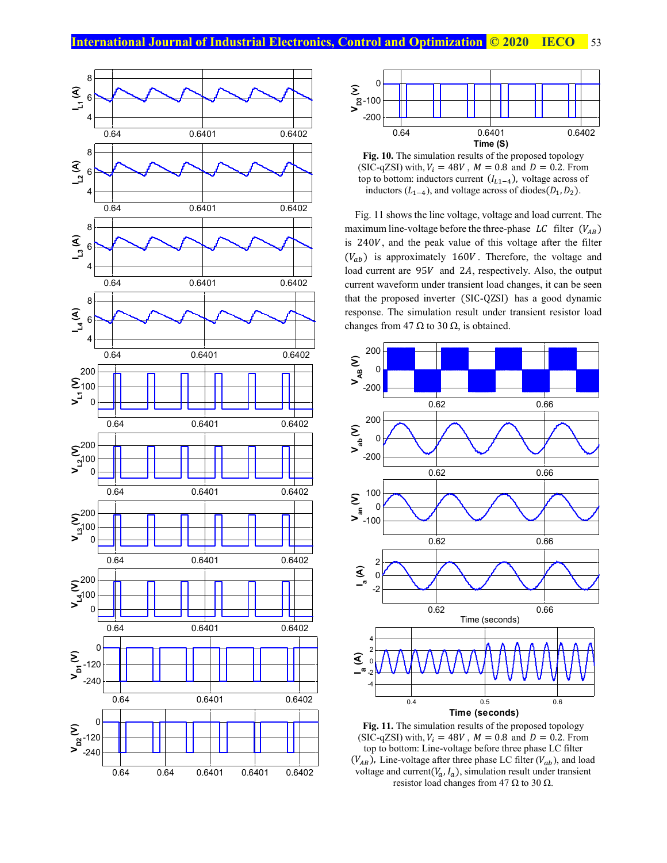



**Fig. 10.** The simulation results of the proposed topology (SIC-qZSI) with,  $V_i = 48V$ ,  $M = 0.8$  and  $D = 0.2$ . From top to bottom: inductors current  $(I_{L1-4})$ , voltage across of inductors  $(L_{1-4})$ , and voltage across of diodes $(D_1, D_2)$ .

Fig. 11 shows the line voltage, voltage and load current. The maximum line-voltage before the three-phase  $LC$  filter  $(V_{AB})$ is 240V, and the peak value of this voltage after the filter  $(V_{ab})$  is approximately 160V. Therefore, the voltage and load current are  $95V$  and 2A, respectively. Also, the output current waveform under transient load changes, it can be seen that the proposed inverter (SIC-QZSI) has a good dynamic response. The simulation result under transient resistor load changes from 47  $\Omega$  to 30  $\Omega$ , is obtained.



**Fig. 11.** The simulation results of the proposed topology (SIC-qZSI) with,  $V_i = 48V$ ,  $M = 0.8$  and  $D = 0.2$ . From top to bottom: Line-voltage before three phase LC filter  $(V_{AB})$ , Line-voltage after three phase LC filter  $(V_{ab})$ , and load voltage and current( $V_a$ ,  $I_a$ ), simulation result under transient resistor load changes from 47  $\Omega$  to 30  $\Omega$ .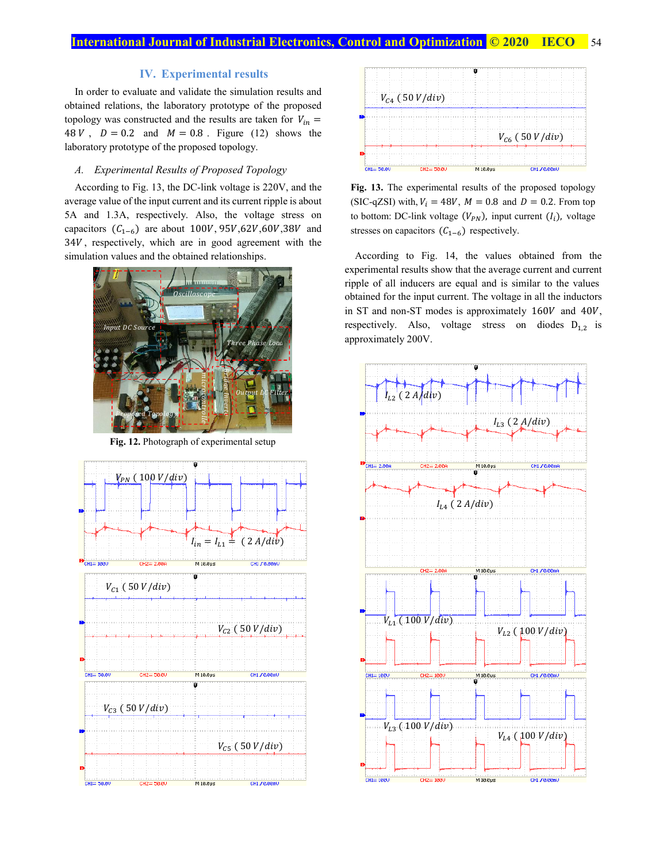### **IV. Experimental results**

In order to evaluate and validate the simulation results and obtained relations, the laboratory prototype of the proposed topology was constructed and the results are taken for  $V_{in}$  = 48 V,  $D = 0.2$  and  $M = 0.8$ . Figure (12) shows the laboratory prototype of the proposed topology.

#### *A. Experimental Results of Proposed Topology*

According to Fig. 13, the DC-link voltage is 220V, and the average value of the input current and its current ripple is about 5A and 1.3A, respectively. Also, the voltage stress on capacitors  $(C_{1-6})$  are about 100V, 95V, 62V, 60V, 38V and 34V, respectively, which are in good agreement with the simulation values and the obtained relationships.



**Fig. 12.** Photograph of experimental setup





**Fig. 13.** The experimental results of the proposed topology (SIC-qZSI) with,  $V_i = 48V$ ,  $M = 0.8$  and  $D = 0.2$ . From top to bottom: DC-link voltage  $(V_{PN})$ , input current  $(I_i)$ , voltage stresses on capacitors  $(C_{1-6})$  respectively.

According to Fig. 14, the values obtained from the experimental results show that the average current and current ripple of all inducers are equal and is similar to the values obtained for the input current. The voltage in all the inductors in ST and non-ST modes is approximately  $160V$  and  $40V$ , respectively. Also, voltage stress on diodes  $D_{1,2}$  is approximately 200V.

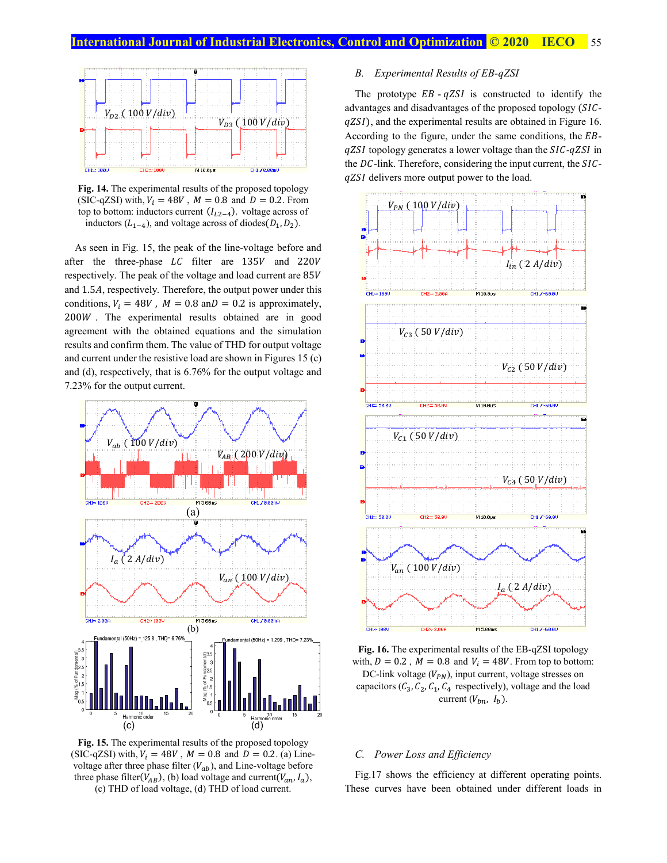

**Fig. 14.** The experimental results of the proposed topology (SIC-qZSI) with,  $V_i = 48V$ ,  $M = 0.8$  and  $D = 0.2$ . From top to bottom: inductors current  $(I_{L2-4})$ , voltage across of inductors  $(L_{1-4})$ , and voltage across of diodes $(D_1, D_2)$ .

As seen in Fig. 15, the peak of the line-voltage before and after the three-phase  $LC$  filter are 135V and 220V respectively. The peak of the voltage and load current are 85 and 1.5A, respectively. Therefore, the output power under this conditions,  $V_i = 48V$ ,  $M = 0.8$  an $D = 0.2$  is approximately,  $200W$ . The experimental results obtained are in good agreement with the obtained equations and the simulation results and confirm them. The value of THD for output voltage and current under the resistive load are shown in Figures 15 (c) and (d), respectively, that is 6.76% for the output voltage and 7.23% for the output current.



**Fig. 15.** The experimental results of the proposed topology (SIC-qZSI) with,  $V_i = 48V$ ,  $M = 0.8$  and  $D = 0.2$ . (a) Linevoltage after three phase filter  $(V_{ab})$ , and Line-voltage before three phase filter( $V_{AB}$ ), (b) load voltage and current( $V_{an}, I_a$ ), (c) THD of load voltage, (d) THD of load current.

#### *B. Experimental Results of EB-qZSI*

The prototype  $EB - qZSI$  is constructed to identify the advantages and disadvantages of the proposed topology (SICqZSI), and the experimental results are obtained in Figure 16. According to the figure, under the same conditions, the  $EB$  $qZSI$  topology generates a lower voltage than the  $SIC-qZSI$  in the  $DC$ -link. Therefore, considering the input current, the  $SIC$ qZSI delivers more output power to the load.





#### *C. Power Loss and Efficiency*

Fig.17 shows the efficiency at different operating points. These curves have been obtained under different loads in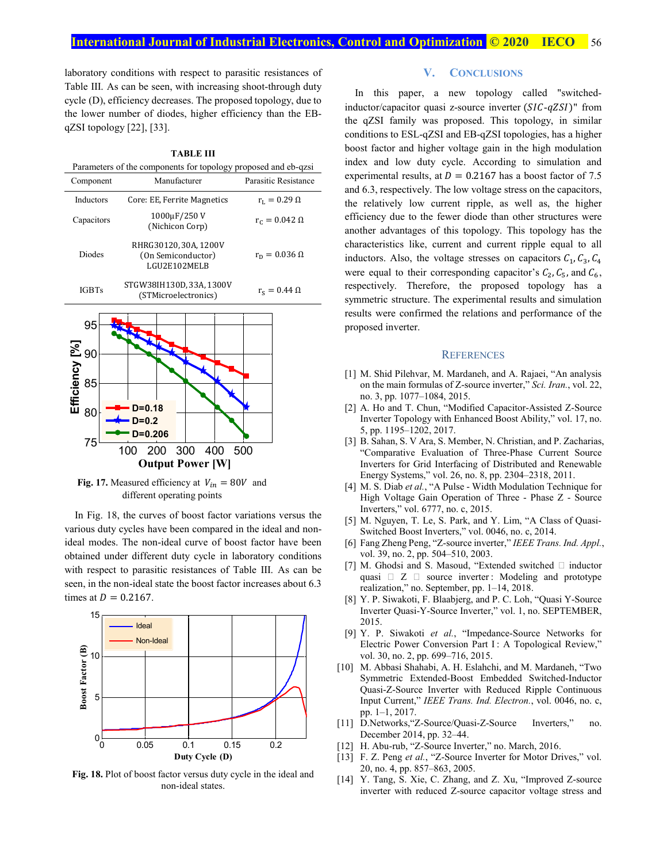laboratory conditions with respect to parasitic resistances of Table III. As can be seen, with increasing shoot-through duty cycle (D), efficiency decreases. The proposed topology, due to the lower number of diodes, higher efficiency than the EBqZSI topology [22], [33].



**Fig. 17.** Measured efficiency at  $V_{in} = 80V$  and different operating points

In Fig. 18, the curves of boost factor variations versus the various duty cycles have been compared in the ideal and nonideal modes. The non-ideal curve of boost factor have been obtained under different duty cycle in laboratory conditions with respect to parasitic resistances of Table III. As can be seen, in the non-ideal state the boost factor increases about 6.3 times at  $D = 0.2167$ .



**Fig. 18.** Plot of boost factor versus duty cycle in the ideal and non-ideal states.

#### **V. CONCLUSIONS**

In this paper, a new topology called "switchedinductor/capacitor quasi z-source inverter  $(SIC-qZSI)$ " from the qZSI family was proposed. This topology, in similar conditions to ESL-qZSI and EB-qZSI topologies, has a higher boost factor and higher voltage gain in the high modulation index and low duty cycle. According to simulation and experimental results, at  $D = 0.2167$  has a boost factor of 7.5 and 6.3, respectively. The low voltage stress on the capacitors, the relatively low current ripple, as well as, the higher efficiency due to the fewer diode than other structures were another advantages of this topology. This topology has the characteristics like, current and current ripple equal to all inductors. Also, the voltage stresses on capacitors  $C_1$ ,  $C_3$ ,  $C_4$ were equal to their corresponding capacitor's  $C_2$ ,  $C_5$ , and  $C_6$ , respectively. Therefore, the proposed topology has a symmetric structure. The experimental results and simulation results were confirmed the relations and performance of the proposed inverter.

#### **REFERENCES**

- [1] M. Shid Pilehvar, M. Mardaneh, and A. Rajaei, "An analysis on the main formulas of Z-source inverter," *Sci. Iran.*, vol. 22, no. 3, pp. 1077–1084, 2015.
- [2] A. Ho and T. Chun, "Modified Capacitor-Assisted Z-Source Inverter Topology with Enhanced Boost Ability," vol. 17, no. 5, pp. 1195–1202, 2017.
- [3] B. Sahan, S. V Ara, S. Member, N. Christian, and P. Zacharias, "Comparative Evaluation of Three-Phase Current Source Inverters for Grid Interfacing of Distributed and Renewable Energy Systems," vol. 26, no. 8, pp. 2304–2318, 2011.
- [4] M. S. Diab *et al.*, "A Pulse Width Modulation Technique for High Voltage Gain Operation of Three - Phase Z - Source Inverters," vol. 6777, no. c, 2015.
- [5] M. Nguyen, T. Le, S. Park, and Y. Lim, "A Class of Quasi-Switched Boost Inverters," vol. 0046, no. c, 2014.
- [6] Fang Zheng Peng, "Z-source inverter," *IEEE Trans. Ind. Appl.*, vol. 39, no. 2, pp. 504–510, 2003.
- [7] M. Ghodsi and S. Masoud, "Extended switched  $\Box$  inductor quasi  $\Box$   $\Box$   $\Box$  source inverter : Modeling and prototype realization," no. September, pp. 1–14, 2018.
- [8] Y. P. Siwakoti, F. Blaabjerg, and P. C. Loh, "Quasi Y-Source Inverter Quasi-Y-Source Inverter," vol. 1, no. SEPTEMBER, 2015.
- [9] Y. P. Siwakoti *et al.*, "Impedance-Source Networks for Electric Power Conversion Part I : A Topological Review," vol. 30, no. 2, pp. 699–716, 2015.
- [10] M. Abbasi Shahabi, A. H. Eslahchi, and M. Mardaneh, "Two Symmetric Extended-Boost Embedded Switched-Inductor Quasi-Z-Source Inverter with Reduced Ripple Continuous Input Current," *IEEE Trans. Ind. Electron.*, vol. 0046, no. c, pp. 1–1, 2017.
- [11] D.Networks,"Z-Source/Quasi-Z-Source Inverters," no. December 2014, pp. 32–44.
- [12] H. Abu-rub, "Z-Source Inverter," no. March, 2016.
- [13] F. Z. Peng et al., "Z-Source Inverter for Motor Drives," vol. 20, no. 4, pp. 857–863, 2005.
- [14] Y. Tang, S. Xie, C. Zhang, and Z. Xu, "Improved Z-source inverter with reduced Z-source capacitor voltage stress and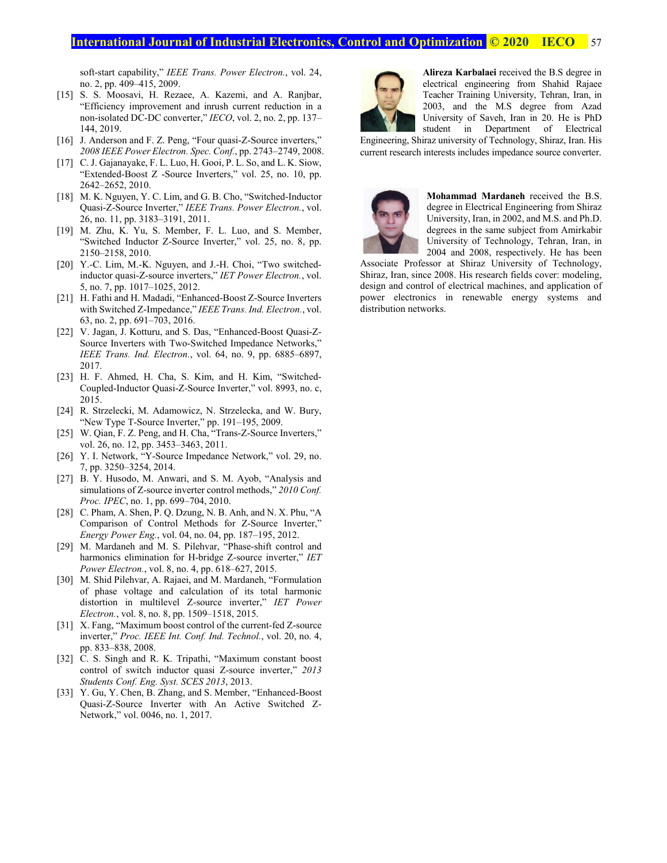# **International Journal of Industrial Electronics, Control and Optimization <b>© 2020** IECO 57

soft-start capability," *IEEE Trans. Power Electron.*, vol. 24, no. 2, pp. 409–415, 2009.

- [15] S. S. Moosavi, H. Rezaee, A. Kazemi, and A. Ranjbar, "Efficiency improvement and inrush current reduction in a non-isolated DC-DC converter," *IECO*, vol. 2, no. 2, pp. 137– 144, 2019.
- [16] J. Anderson and F. Z. Peng, "Four quasi-Z-Source inverters," *2008 IEEE Power Electron. Spec. Conf.*, pp. 2743–2749, 2008.
- [17] C. J. Gajanayake, F. L. Luo, H. Gooi, P. L. So, and L. K. Siow, "Extended-Boost Z -Source Inverters," vol. 25, no. 10, pp. 2642–2652, 2010.
- [18] M. K. Nguyen, Y. C. Lim, and G. B. Cho, "Switched-Inductor Quasi-Z-Source Inverter," *IEEE Trans. Power Electron.*, vol. 26, no. 11, pp. 3183–3191, 2011.
- [19] M. Zhu, K. Yu, S. Member, F. L. Luo, and S. Member, "Switched Inductor Z-Source Inverter," vol. 25, no. 8, pp. 2150–2158, 2010.
- [20] Y.-C. Lim, M.-K. Nguyen, and J.-H. Choi, "Two switchedinductor quasi-Z-source inverters," *IET Power Electron.*, vol. 5, no. 7, pp. 1017–1025, 2012.
- [21] H. Fathi and H. Madadi, "Enhanced-Boost Z-Source Inverters with Switched Z-Impedance," *IEEE Trans. Ind. Electron.*, vol. 63, no. 2, pp. 691–703, 2016.
- [22] V. Jagan, J. Kotturu, and S. Das, "Enhanced-Boost Quasi-Z-Source Inverters with Two-Switched Impedance Networks," *IEEE Trans. Ind. Electron.*, vol. 64, no. 9, pp. 6885–6897, 2017.
- [23] H. F. Ahmed, H. Cha, S. Kim, and H. Kim, "Switched-Coupled-Inductor Quasi-Z-Source Inverter," vol. 8993, no. c, 2015.
- [24] R. Strzelecki, M. Adamowicz, N. Strzelecka, and W. Bury, "New Type T-Source Inverter," pp. 191–195, 2009.
- [25] W. Qian, F. Z. Peng, and H. Cha, "Trans-Z-Source Inverters," vol. 26, no. 12, pp. 3453–3463, 2011.
- [26] Y. I. Network, "Y-Source Impedance Network," vol. 29, no. 7, pp. 3250–3254, 2014.
- [27] B. Y. Husodo, M. Anwari, and S. M. Ayob, "Analysis and simulations of Z-source inverter control methods," *2010 Conf. Proc. IPEC*, no. 1, pp. 699–704, 2010.
- [28] C. Pham, A. Shen, P. Q. Dzung, N. B. Anh, and N. X. Phu, "A Comparison of Control Methods for Z-Source Inverter," *Energy Power Eng.*, vol. 04, no. 04, pp. 187–195, 2012.
- [29] M. Mardaneh and M. S. Pilehvar, "Phase-shift control and harmonics elimination for H-bridge Z-source inverter," *IET Power Electron.*, vol. 8, no. 4, pp. 618–627, 2015.
- [30] M. Shid Pilehvar, A. Rajaei, and M. Mardaneh, "Formulation of phase voltage and calculation of its total harmonic distortion in multilevel Z-source inverter," *IET Power Electron.*, vol. 8, no. 8, pp. 1509–1518, 2015.
- [31] X. Fang, "Maximum boost control of the current-fed Z-source inverter," *Proc. IEEE Int. Conf. Ind. Technol.*, vol. 20, no. 4, pp. 833–838, 2008.
- [32] C. S. Singh and R. K. Tripathi, "Maximum constant boost" control of switch inductor quasi Z-source inverter," *2013 Students Conf. Eng. Syst. SCES 2013*, 2013.
- [33] Y. Gu, Y. Chen, B. Zhang, and S. Member, "Enhanced-Boost" Quasi-Z-Source Inverter with An Active Switched Z-Network," vol. 0046, no. 1, 2017.



**Alireza Karbalaei** received the B.S degree in electrical engineering from Shahid Rajaee Teacher Training University, Tehran, Iran, in 2003, and the M.S degree from Azad University of Saveh, Iran in 20. He is PhD student in Department of Electrical

Engineering, Shiraz university of Technology, Shiraz, Iran. His current research interests includes impedance source converter.



**Mohammad Mardaneh** received the B.S. degree in Electrical Engineering from Shiraz University, Iran, in 2002, and M.S. and Ph.D. degrees in the same subject from Amirkabir University of Technology, Tehran, Iran, in 2004 and 2008, respectively. He has been

Associate Professor at Shiraz University of Technology, Shiraz, Iran, since 2008. His research fields cover: modeling, design and control of electrical machines, and application of power electronics in renewable energy systems and distribution networks.